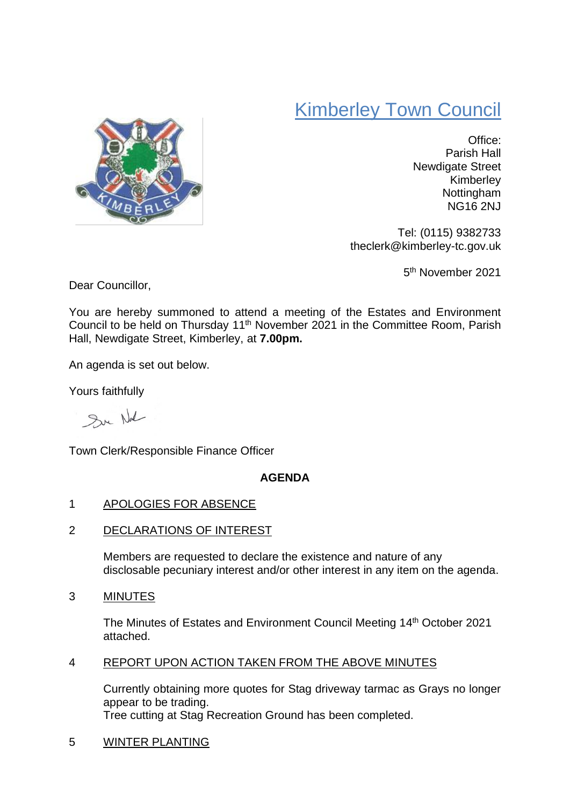# Kimberley Town Council



Office: Parish Hall Newdigate Street Kimberley Nottingham NG16 2NJ

Tel: (0115) 9382733 theclerk@kimberley-tc.gov.uk

5<sup>th</sup> November 2021

Dear Councillor,

You are hereby summoned to attend a meeting of the Estates and Environment Council to be held on Thursday 11th November 2021 in the Committee Room, Parish Hall, Newdigate Street, Kimberley, at **7.00pm.**

An agenda is set out below.

Yours faithfully

Sur Not

Town Clerk/Responsible Finance Officer

## **AGENDA**

## 1 APOLOGIES FOR ABSENCE

2 DECLARATIONS OF INTEREST

Members are requested to declare the existence and nature of any disclosable pecuniary interest and/or other interest in any item on the agenda.

## 3 MINUTES

The Minutes of Estates and Environment Council Meeting 14<sup>th</sup> October 2021 attached.

## 4 REPORT UPON ACTION TAKEN FROM THE ABOVE MINUTES

Currently obtaining more quotes for Stag driveway tarmac as Grays no longer appear to be trading. Tree cutting at Stag Recreation Ground has been completed.

5 WINTER PLANTING